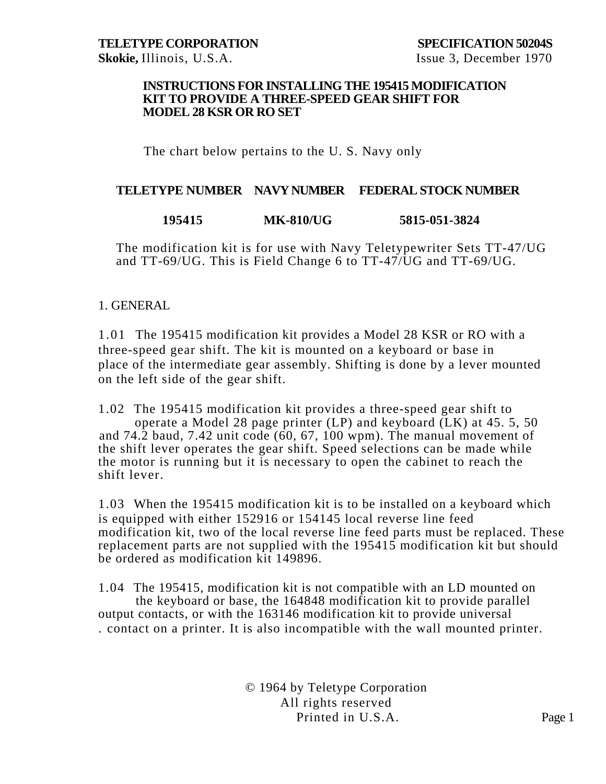#### **INSTRUCTIONS FOR INSTALLING THE 195415 MODIFICATION KIT TO PROVIDE A THREE-SPEED GEAR SHIFT FOR MODEL 28 KSR OR RO SET**

### The chart below pertains to the U. S. Navy only

#### **TELETYPE NUMBER NAVY NUMBER FEDERAL STOCK NUMBER**

### **195415 MK-810/UG 5815-051-3824**

The modification kit is for use with Navy Teletypewriter Sets TT-47/UG and TT-69/UG. This is Field Change 6 to TT-47/UG and TT-69/UG.

#### 1. GENERAL

1.01 The 195415 modification kit provides a Model 28 KSR or RO with a three-speed gear shift. The kit is mounted on a keyboard or base in place of the intermediate gear assembly. Shifting is done by a lever mounted on the left side of the gear shift.

1.02 The 195415 modification kit provides a three-speed gear shift to operate a Model 28 page printer (LP) and keyboard (LK) at 45. 5, 50 and 74.2 baud, 7.42 unit code (60, 67, 100 wpm). The manual movement of the shift lever operates the gear shift. Speed selections can be made while the motor is running but it is necessary to open the cabinet to reach the shift lever.

1.03 When the 195415 modification kit is to be installed on a keyboard which is equipped with either 152916 or 154145 local reverse line feed modification kit, two of the local reverse line feed parts must be replaced. These replacement parts are not supplied with the 195415 modification kit but should be ordered as modification kit 149896.

1.04 The 195415, modification kit is not compatible with an LD mounted on the keyboard or base, the 164848 modification kit to provide parallel output contacts, or with the 163146 modification kit to provide universal . contact on a printer. It is also incompatible with the wall mounted printer.

> © 1964 by Teletype Corporation All rights reserved Printed in U.S.A. Page 1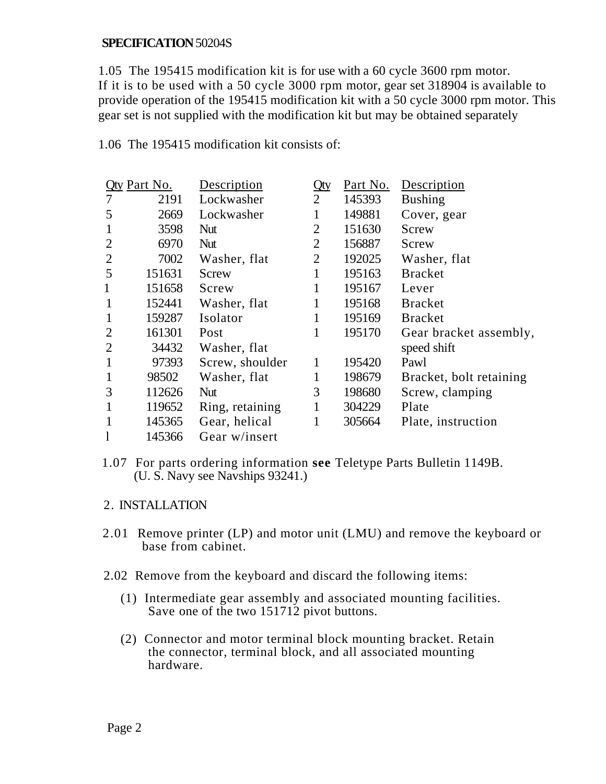1.05 The 195415 modification kit is for use with a 60 cycle 3600 rpm motor. If it is to be used with a 50 cycle 3000 rpm motor, gear set 318904 is available to provide operation of the 195415 modification kit with a 50 cycle 3000 rpm motor. This gear set is not supplied with the modification kit but may be obtained separately

1.06 The 195415 modification kit consists of:

| <b>Qty Part No.</b> |        | Description     | Qty            | Part No. | Description             |
|---------------------|--------|-----------------|----------------|----------|-------------------------|
|                     | 2191   | Lockwasher      | $\overline{2}$ | 145393   | <b>Bushing</b>          |
| 5                   | 2669   | Lockwasher      | 1              | 149881   | Cover, gear             |
| $\mathbf{1}$        | 3598   | <b>Nut</b>      | $\overline{2}$ | 151630   | Screw                   |
| $\overline{2}$      | 6970   | Nut             | $\overline{2}$ | 156887   | Screw                   |
| $\overline{2}$      | 7002   | Washer, flat    | $\overline{2}$ | 192025   | Washer, flat            |
| 5                   | 151631 | Screw           | 1              | 195163   | <b>Bracket</b>          |
| $\mathbf{1}$        | 151658 | Screw           | 1              | 195167   | Lever                   |
| $\mathbf{1}$        | 152441 | Washer, flat    |                | 195168   | <b>Bracket</b>          |
| 1                   | 159287 | Isolator        | 1              | 195169   | <b>Bracket</b>          |
| $\overline{2}$      | 161301 | Post            | 1              | 195170   | Gear bracket assembly,  |
| $\overline{2}$      | 34432  | Washer, flat    |                |          | speed shift             |
| $\mathbf{1}$        | 97393  | Screw, shoulder | 1              | 195420   | Pawl                    |
| $\mathbf{1}$        | 98502  | Washer, flat    | 1              | 198679   | Bracket, bolt retaining |
| 3                   | 112626 | <b>Nut</b>      | 3              | 198680   | Screw, clamping         |
| 1                   | 119652 | Ring, retaining | 1              | 304229   | Plate                   |
| 1                   | 145365 | Gear, helical   |                | 305664   | Plate, instruction      |
|                     | 145366 | Gear w/insert   |                |          |                         |

1.07 For parts ordering information **see** Teletype Parts Bulletin 1149B. (U. S. Navy see Navships 93241.)

### 2. INSTALLATION

- 2.01 Remove printer (LP) and motor unit (LMU) and remove the keyboard or base from cabinet.
- 2.02 Remove from the keyboard and discard the following items:
	- (1) Intermediate gear assembly and associated mounting facilities. Save one of the two 151712 pivot buttons.
	- (2) Connector and motor terminal block mounting bracket. Retain the connector, terminal block, and all associated mounting hardware.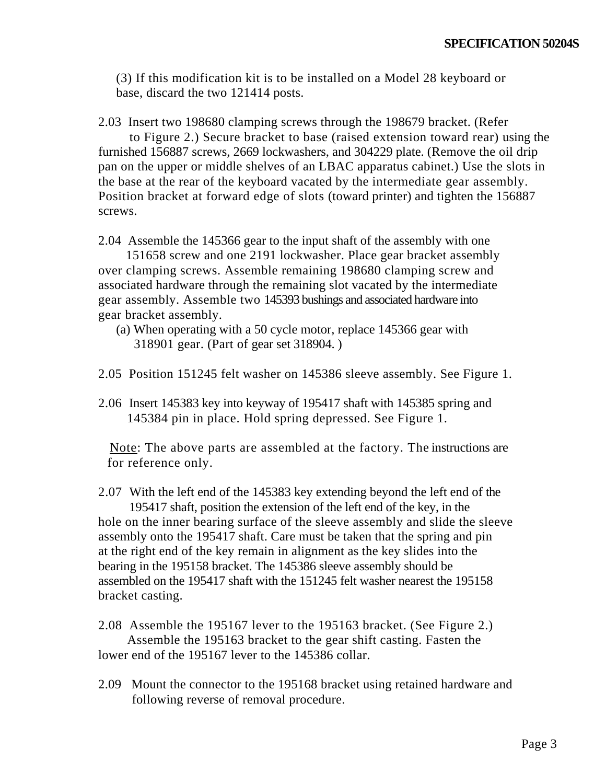(3) If this modification kit is to be installed on a Model 28 keyboard or base, discard the two 121414 posts.

2.03 Insert two 198680 clamping screws through the 198679 bracket. (Refer

to Figure 2.) Secure bracket to base (raised extension toward rear) using the furnished 156887 screws, 2669 lockwashers, and 304229 plate. (Remove the oil drip pan on the upper or middle shelves of an LBAC apparatus cabinet.) Use the slots in the base at the rear of the keyboard vacated by the intermediate gear assembly. Position bracket at forward edge of slots (toward printer) and tighten the 156887 screws.

2.04 Assemble the 145366 gear to the input shaft of the assembly with one

 151658 screw and one 2191 lockwasher. Place gear bracket assembly over clamping screws. Assemble remaining 198680 clamping screw and associated hardware through the remaining slot vacated by the intermediate gear assembly. Assemble two 145393 bushings and associated hardware into gear bracket assembly.

- (a) When operating with a 50 cycle motor, replace 145366 gear with 318901 gear. (Part of gear set 318904. )
- 2.05 Position 151245 felt washer on 145386 sleeve assembly. See Figure 1.
- 2.06 Insert 145383 key into keyway of 195417 shaft with 145385 spring and 145384 pin in place. Hold spring depressed. See Figure 1.

 Note: The above parts are assembled at the factory. The instructions are for reference only.

2.07 With the left end of the 145383 key extending beyond the left end of the 195417 shaft, position the extension of the left end of the key, in the hole on the inner bearing surface of the sleeve assembly and slide the sleeve assembly onto the 195417 shaft. Care must be taken that the spring and pin at the right end of the key remain in alignment as the key slides into the bearing in the 195158 bracket. The 145386 sleeve assembly should be assembled on the 195417 shaft with the 151245 felt washer nearest the 195158 bracket casting.

2.08 Assemble the 195167 lever to the 195163 bracket. (See Figure 2.) Assemble the 195163 bracket to the gear shift casting. Fasten the lower end of the 195167 lever to the 145386 collar.

2.09 Mount the connector to the 195168 bracket using retained hardware and following reverse of removal procedure.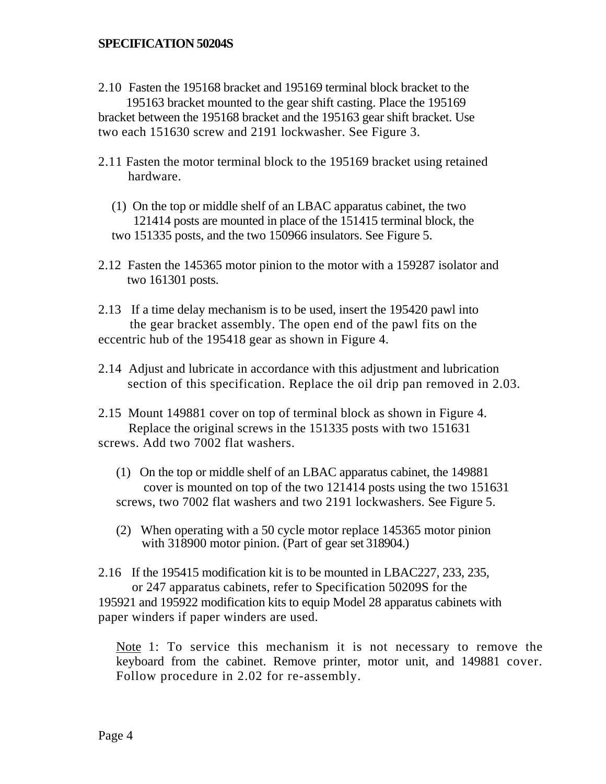- 2.10 Fasten the 195168 bracket and 195169 terminal block bracket to the 195163 bracket mounted to the gear shift casting. Place the 195169 bracket between the 195168 bracket and the 195163 gear shift bracket. Use two each 151630 screw and 2191 lockwasher. See Figure 3.
- 2.11 Fasten the motor terminal block to the 195169 bracket using retained hardware.
	- (1) On the top or middle shelf of an LBAC apparatus cabinet, the two 121414 posts are mounted in place of the 151415 terminal block, the two 151335 posts, and the two 150966 insulators. See Figure 5.
- 2.12 Fasten the 145365 motor pinion to the motor with a 159287 isolator and two 161301 posts.
- 2.13 If a time delay mechanism is to be used, insert the 195420 pawl into the gear bracket assembly. The open end of the pawl fits on the eccentric hub of the 195418 gear as shown in Figure 4.
- 2.14 Adjust and lubricate in accordance with this adjustment and lubrication section of this specification. Replace the oil drip pan removed in 2.03.
- 2.15 Mount 149881 cover on top of terminal block as shown in Figure 4. Replace the original screws in the 151335 posts with two 151631 screws. Add two 7002 flat washers.
	- (1) On the top or middle shelf of an LBAC apparatus cabinet, the 149881 cover is mounted on top of the two 121414 posts using the two 151631 screws, two 7002 flat washers and two 2191 lockwashers. See Figure 5.
	- (2) When operating with a 50 cycle motor replace 145365 motor pinion with 318900 motor pinion. (Part of gear set 318904.)
- 2.16 If the 195415 modification kit is to be mounted in LBAC227, 233, 235, or 247 apparatus cabinets, refer to Specification 50209S for the 195921 and 195922 modification kits to equip Model 28 apparatus cabinets with paper winders if paper winders are used.

Note 1: To service this mechanism it is not necessary to remove the keyboard from the cabinet. Remove printer, motor unit, and 149881 cover. Follow procedure in 2.02 for re-assembly.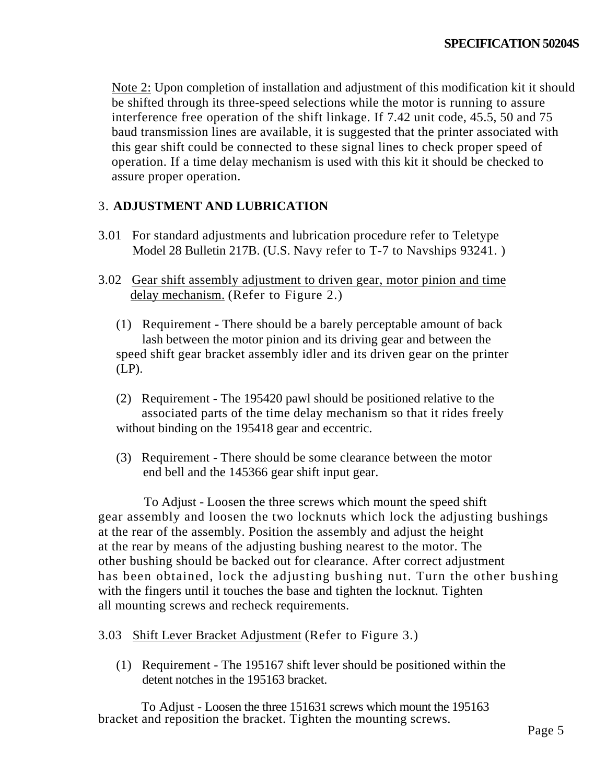Note 2: Upon completion of installation and adjustment of this modification kit it should be shifted through its three-speed selections while the motor is running to assure interference free operation of the shift linkage. If 7.42 unit code, 45.5, 50 and 75 baud transmission lines are available, it is suggested that the printer associated with this gear shift could be connected to these signal lines to check proper speed of operation. If a time delay mechanism is used with this kit it should be checked to assure proper operation.

# 3. **ADJUSTMENT AND LUBRICATION**

- 3.01 For standard adjustments and lubrication procedure refer to Teletype Model 28 Bulletin 217B. (U.S. Navy refer to T-7 to Navships 93241. )
- 3.02 Gear shift assembly adjustment to driven gear, motor pinion and time delay mechanism. (Refer to Figure 2.)
	- (1) Requirement There should be a barely perceptable amount of back lash between the motor pinion and its driving gear and between the speed shift gear bracket assembly idler and its driven gear on the printer (LP).
	- (2) Requirement The 195420 pawl should be positioned relative to the associated parts of the time delay mechanism so that it rides freely without binding on the 195418 gear and eccentric.
	- (3) Requirement There should be some clearance between the motor end bell and the 145366 gear shift input gear.

 To Adjust - Loosen the three screws which mount the speed shift gear assembly and loosen the two locknuts which lock the adjusting bushings at the rear of the assembly. Position the assembly and adjust the height at the rear by means of the adjusting bushing nearest to the motor. The other bushing should be backed out for clearance. After correct adjustment has been obtained, lock the adjusting bushing nut. Turn the other bushing with the fingers until it touches the base and tighten the locknut. Tighten all mounting screws and recheck requirements.

### 3.03 Shift Lever Bracket Adjustment (Refer to Figure 3.)

(1) Requirement - The 195167 shift lever should be positioned within the detent notches in the 195163 bracket.

 To Adjust - Loosen the three 151631 screws which mount the 195163 bracket and reposition the bracket. Tighten the mounting screws.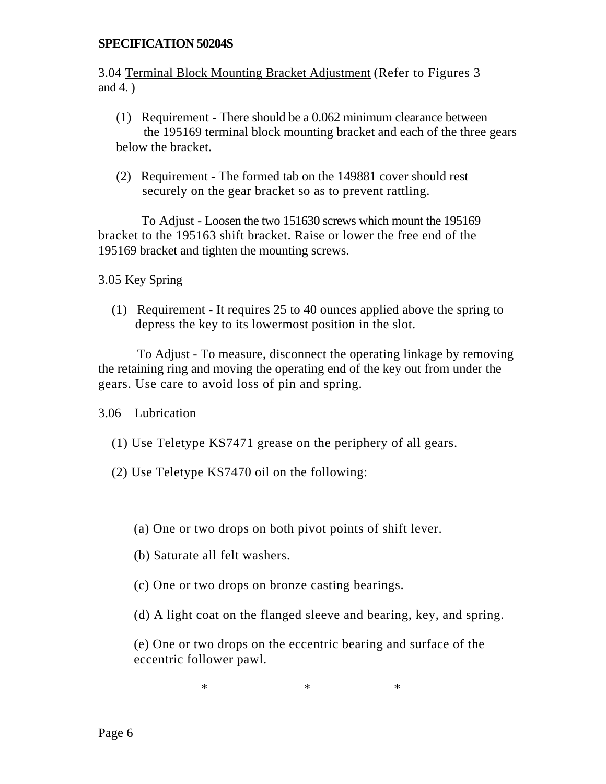3.04 Terminal Block Mounting Bracket Adjustment (Refer to Figures 3 and 4. )

- (1) Requirement There should be a 0.062 minimum clearance between the 195169 terminal block mounting bracket and each of the three gears below the bracket.
- (2) Requirement The formed tab on the 149881 cover should rest securely on the gear bracket so as to prevent rattling.

 To Adjust - Loosen the two 151630 screws which mount the 195169 bracket to the 195163 shift bracket. Raise or lower the free end of the 195169 bracket and tighten the mounting screws.

## 3.05 Key Spring

(1) Requirement - It requires 25 to 40 ounces applied above the spring to depress the key to its lowermost position in the slot.

 To Adjust - To measure, disconnect the operating linkage by removing the retaining ring and moving the operating end of the key out from under the gears. Use care to avoid loss of pin and spring.

3.06 Lubrication

- (1) Use Teletype KS7471 grease on the periphery of all gears.
- (2) Use Teletype KS7470 oil on the following:
	- (a) One or two drops on both pivot points of shift lever.
	- (b) Saturate all felt washers.
	- (c) One or two drops on bronze casting bearings.
	- (d) A light coat on the flanged sleeve and bearing, key, and spring.

(e) One or two drops on the eccentric bearing and surface of the eccentric follower pawl.

 $*$   $*$   $*$   $*$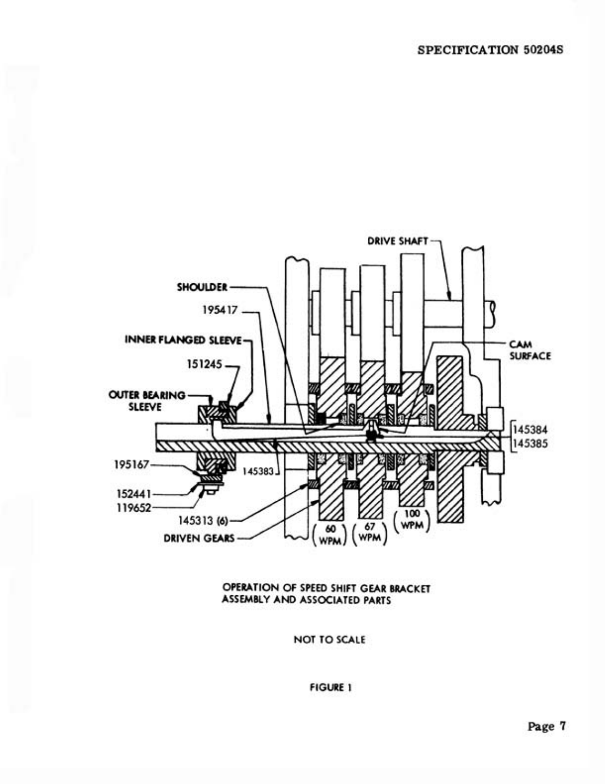

ASSEMBLY AND ASSOCIATED PARTS

NOT TO SCALE

**FIGURE 1**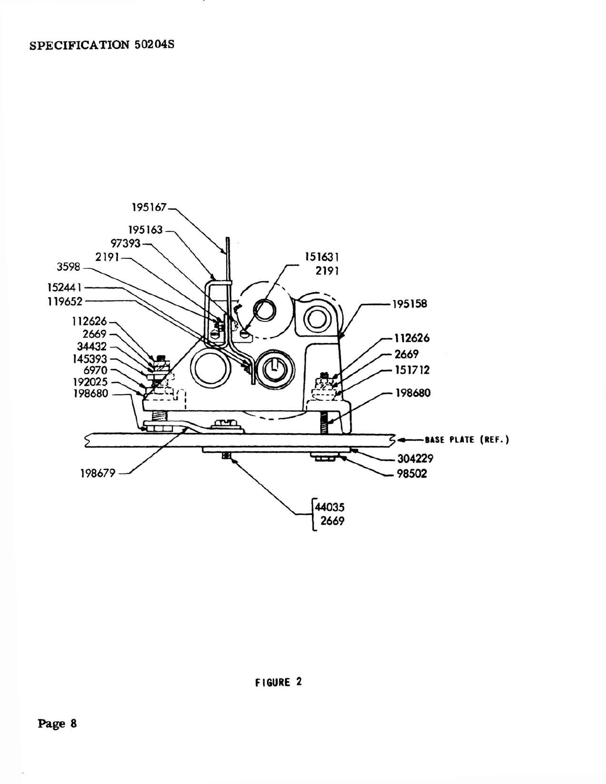

FIGURE 2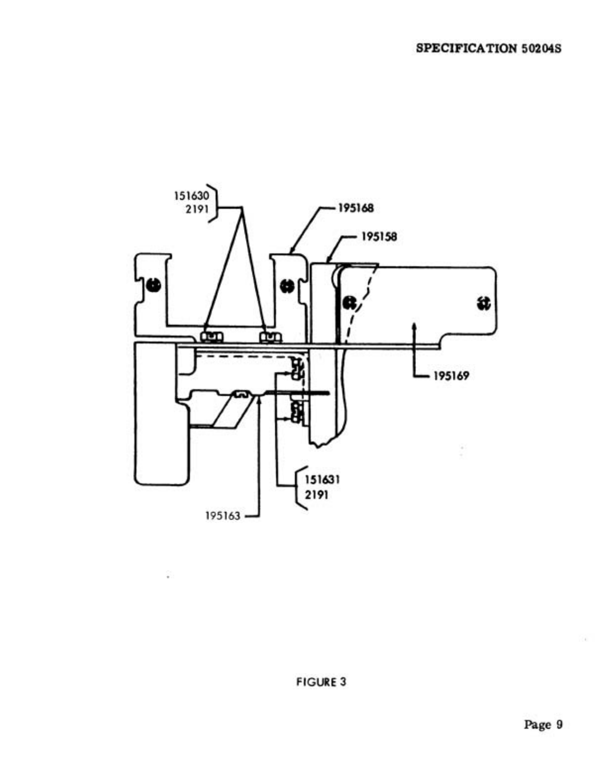

**FIGURE 3** 

g

 $\mathcal{A}$